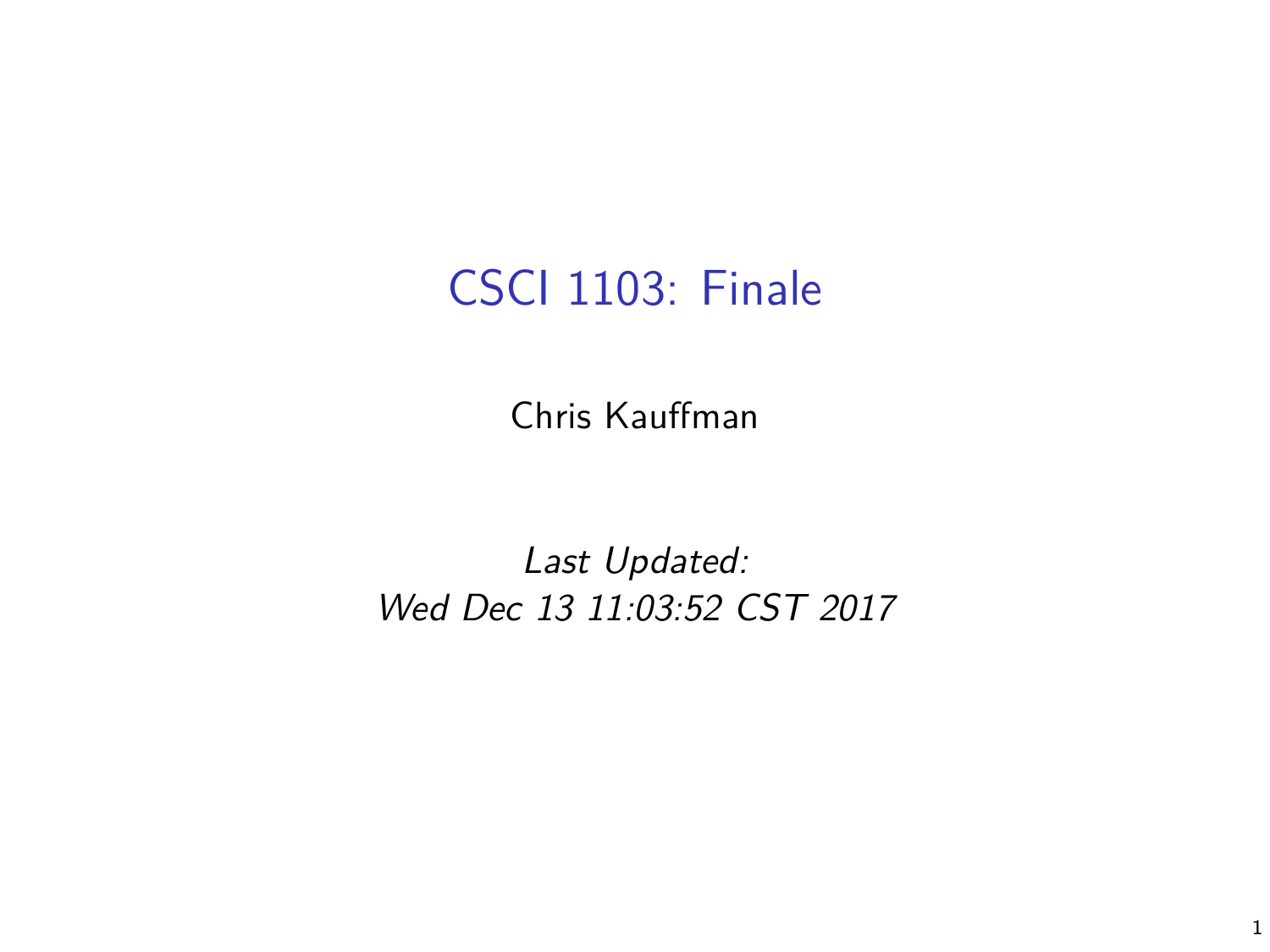## CSCI 1103: Finale

Chris Kauffman

Last Updated: Wed Dec 13 11:03:52 CST 2017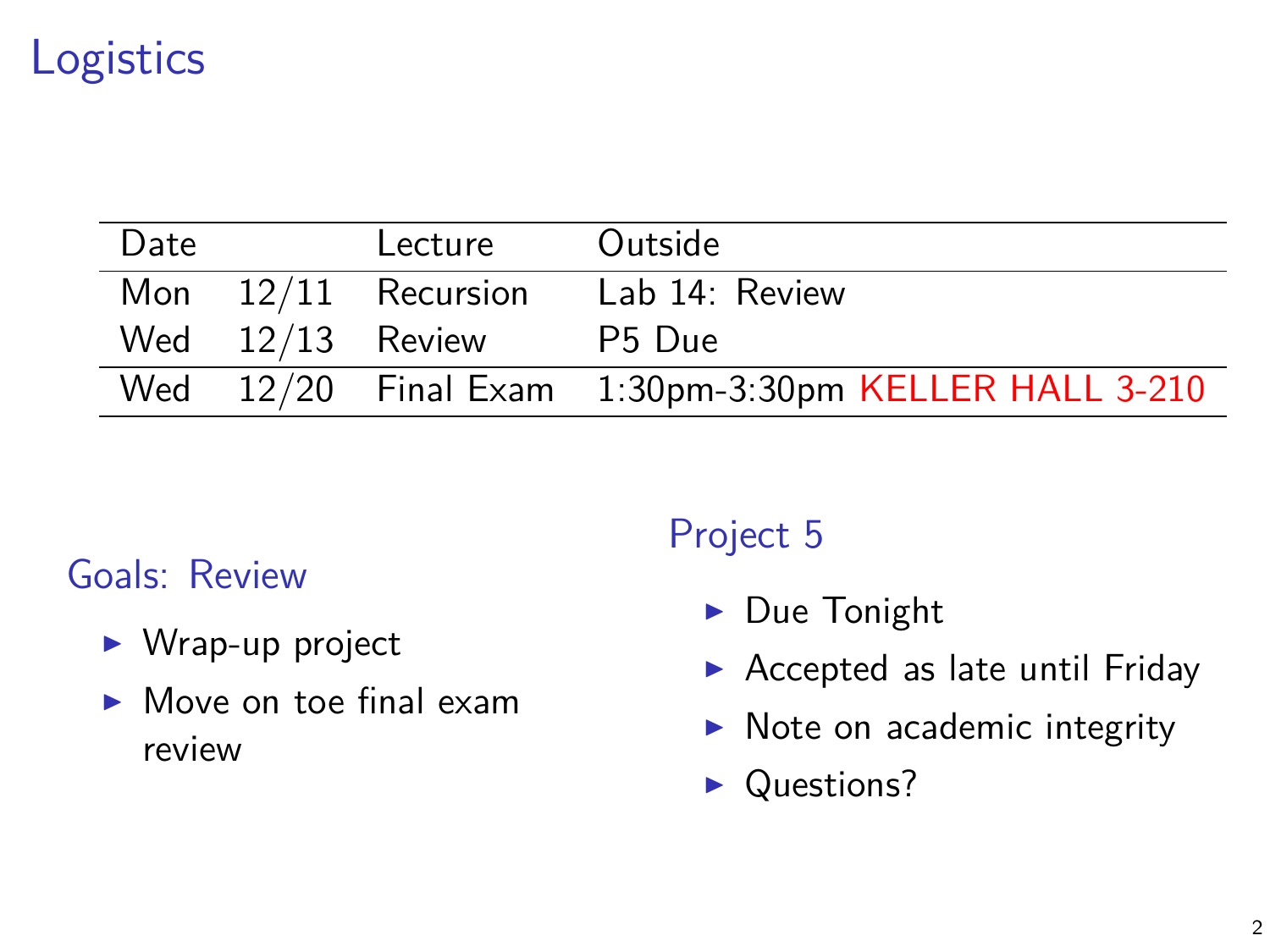# Logistics

| Date | Lecture               | Outside                                              |
|------|-----------------------|------------------------------------------------------|
|      | Mon $12/11$ Recursion | Lab 14: Review                                       |
|      | Wed $12/13$ Review    | P5 Due                                               |
|      |                       | Wed 12/20 Final Exam 1:30pm-3:30pm KELLER HALL 3-210 |

#### Goals: Review

- $\blacktriangleright$  Wrap-up project
- $\blacktriangleright$  Move on toe final exam review

#### Project 5

- $\blacktriangleright$  Due Tonight
- $\blacktriangleright$  Accepted as late until Friday
- $\blacktriangleright$  Note on academic integrity
- Questions?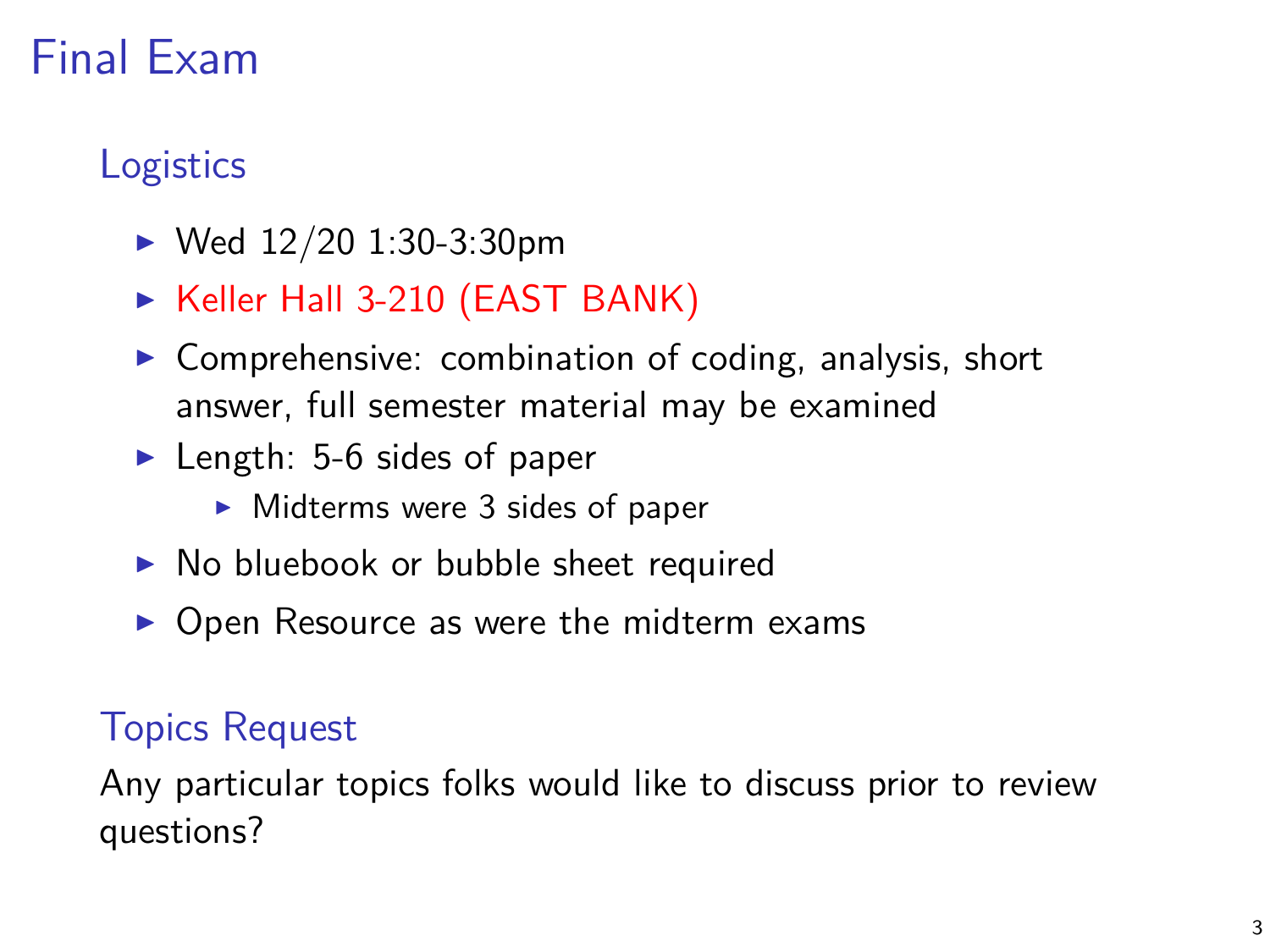# Final Exam

### **Logistics**

- $\blacktriangleright$  Wed 12/20 1:30-3:30pm
- ► Keller Hall 3-210 (EAST BANK)
- $\triangleright$  Comprehensive: combination of coding, analysis, short answer, full semester material may be examined
- $\blacktriangleright$  Length: 5-6 sides of paper
	- $\blacktriangleright$  Midterms were 3 sides of paper
- $\triangleright$  No bluebook or bubble sheet required
- $\triangleright$  Open Resource as were the midterm exams

#### Topics Request

Any particular topics folks would like to discuss prior to review questions?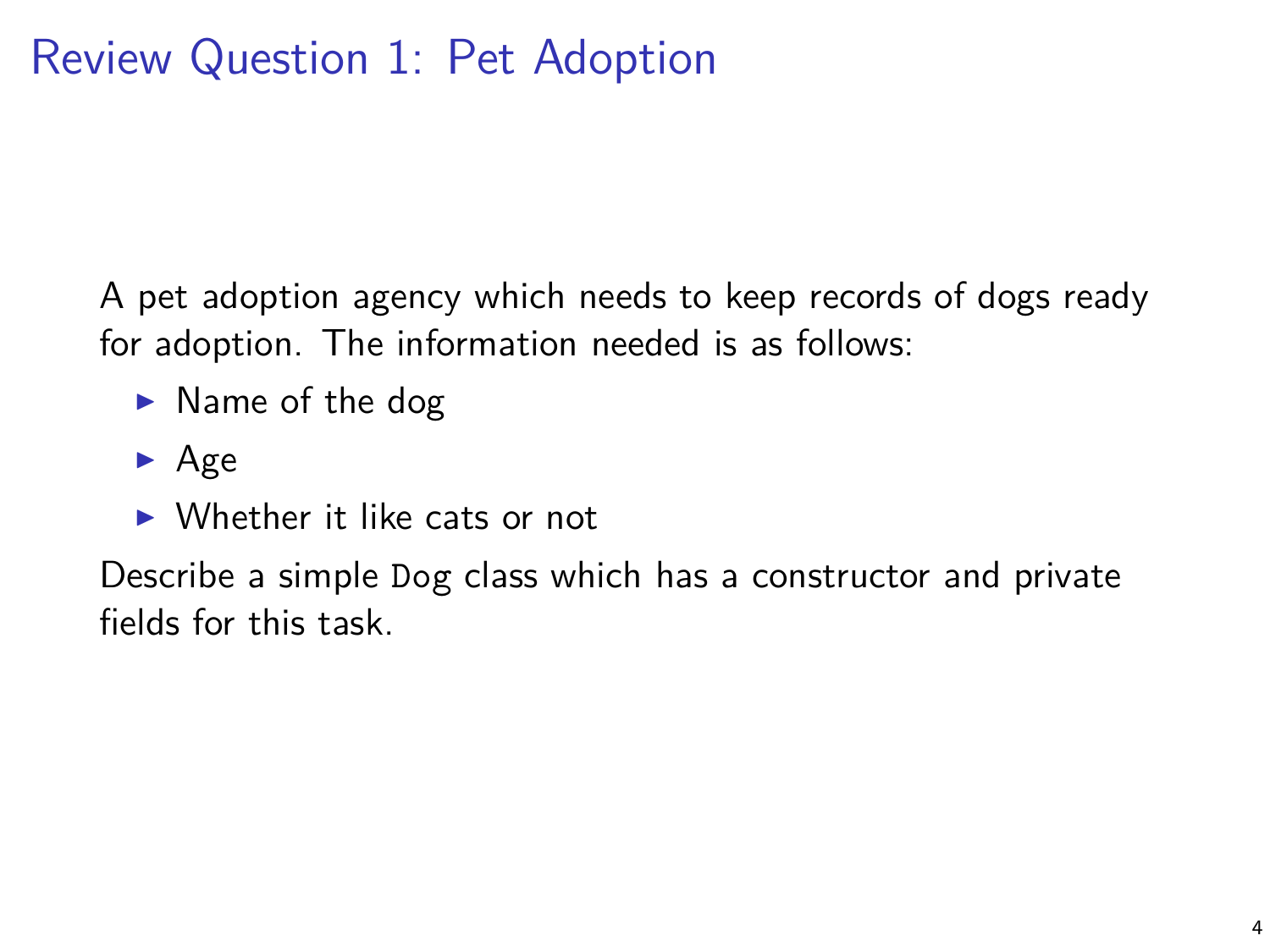A pet adoption agency which needs to keep records of dogs ready for adoption. The information needed is as follows:

- $\blacktriangleright$  Name of the dog
- $\blacktriangleright$  Age
- $\triangleright$  Whether it like cats or not

Describe a simple Dog class which has a constructor and private fields for this task.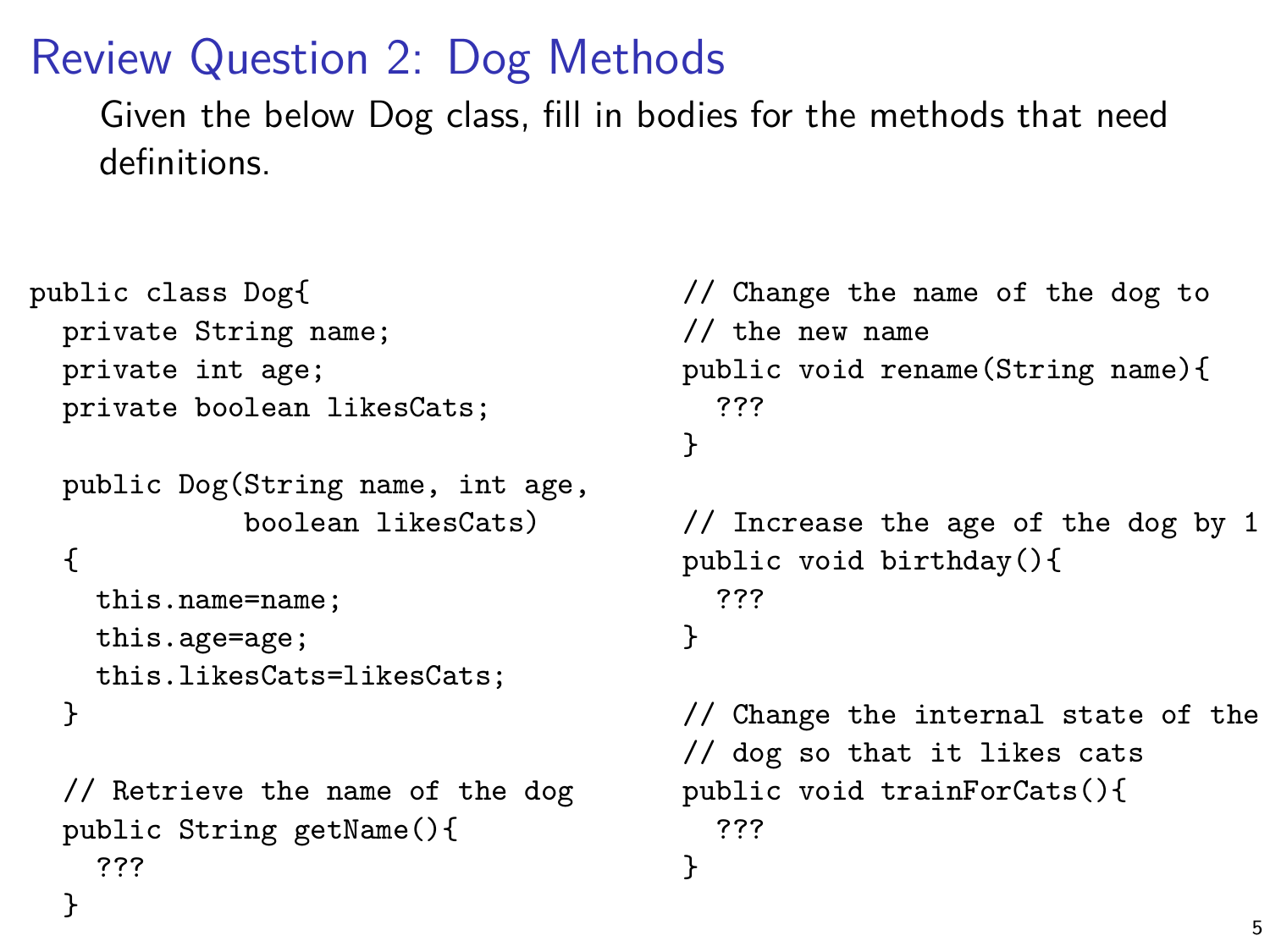# Review Question 2: Dog Methods

Given the below Dog class, fill in bodies for the methods that need definitions.

```
public class Dog{
 private String name;
 private int age;
 private boolean likesCats;
```

```
public Dog(String name, int age,
           boolean likesCats)
{
  this.name=name;
  this.age=age;
  this.likesCats=likesCats;
}
```

```
// Retrieve the name of the dog
public String getName(){
  ???
}
```

```
// Change the name of the dog to
// the new name
public void rename(String name){
  ???
}
// Increase the age of the dog by 1
public void birthday(){
  ???
}
// Change the internal state of the
// dog so that it likes cats
public void trainForCats(){
  ???
}
```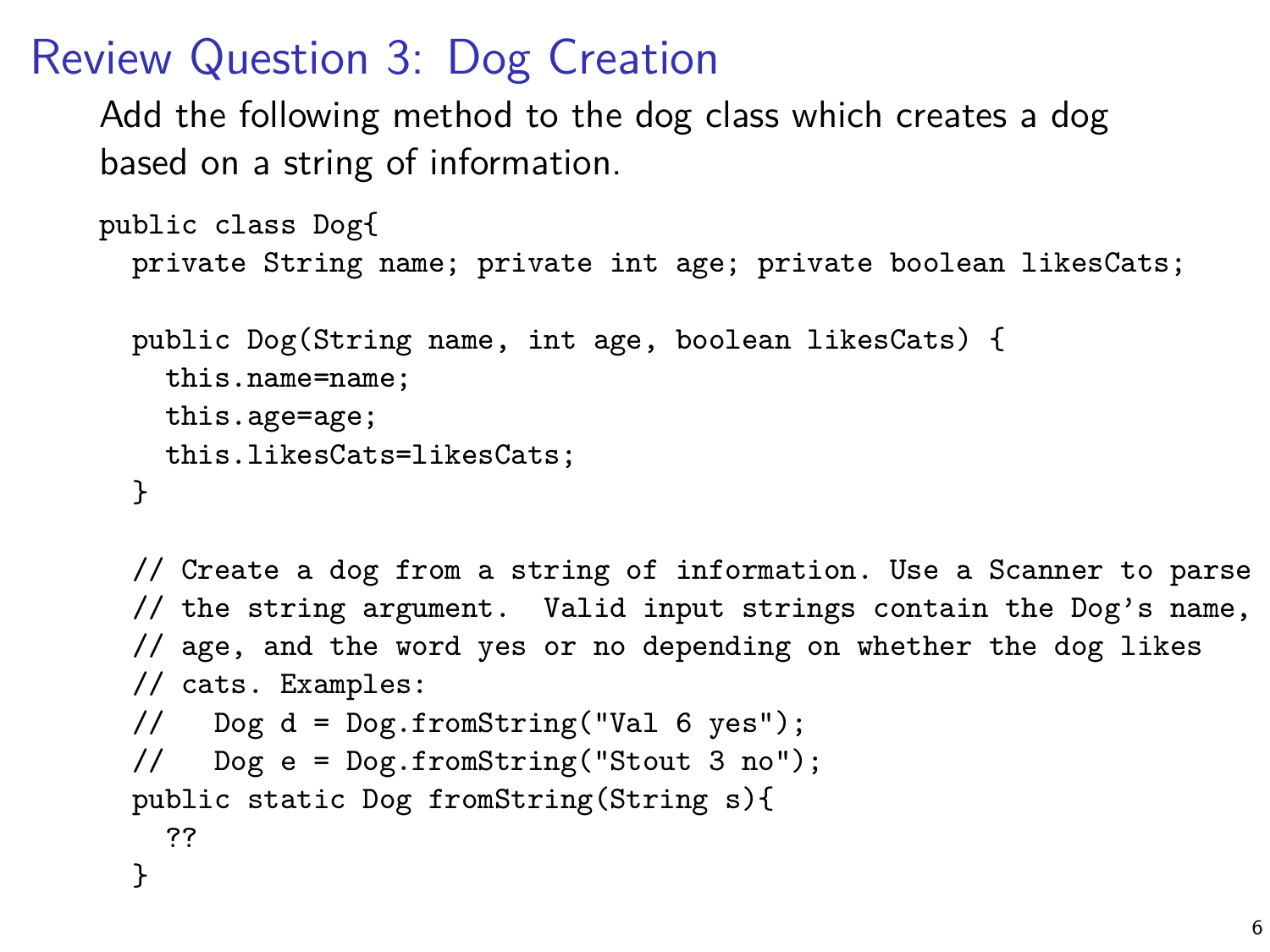## Review Question 3: Dog Creation

Add the following method to the dog class which creates a dog based on a string of information.

```
public class Dog{
  private String name; private int age; private boolean likesCats;
```

```
public Dog(String name, int age, boolean likesCats) {
 this.name=name;
 this.age=age;
 this.likesCats=likesCats;
}
```

```
// Create a dog from a string of information. Use a Scanner to parse
// the string argument. Valid input strings contain the Dog's name,
// age, and the word yes or no depending on whether the dog likes
// cats. Examples:
// Dog d = Dog.fromString("Val 6 yes");
// Dog e = Dog.fromString("Stout 3 no");
public static Dog fromString(String s){
 ??
}
```